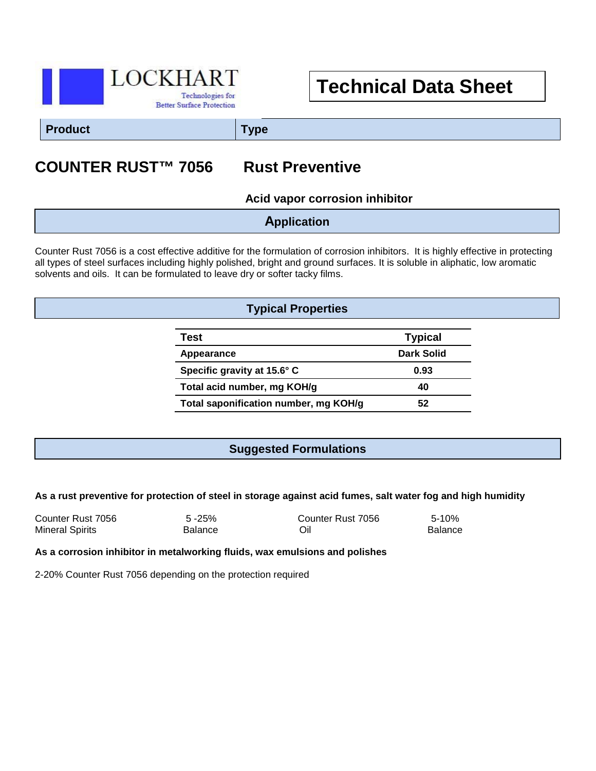

# **Technical Data Sheet**

**Product Type**

# **COUNTER RUST™ 7056 Rust Preventive**

**Acid vapor corrosion inhibitor**

**Application**

Counter Rust 7056 is a cost effective additive for the formulation of corrosion inhibitors. It is highly effective in protecting all types of steel surfaces including highly polished, bright and ground surfaces. It is soluble in aliphatic, low aromatic solvents and oils. It can be formulated to leave dry or softer tacky films.

### **Typical Properties**

| Test                                  | <b>Typical</b> |
|---------------------------------------|----------------|
| Appearance                            | Dark Solid     |
| Specific gravity at 15.6° C           | 0.93           |
| Total acid number, mg KOH/g           | 40             |
| Total saponification number, mg KOH/g | 52             |

#### **Suggested Formulations**

#### **As a rust preventive for protection of steel in storage against acid fumes, salt water fog and high humidity**

| Counter Rust 7056      | $5 - 25%$      | Counter Rust 7056 | $5 - 10%$      |
|------------------------|----------------|-------------------|----------------|
| <b>Mineral Spirits</b> | <b>Balance</b> | Oil               | <b>Balance</b> |

#### **As a corrosion inhibitor in metalworking fluids, wax emulsions and polishes**

2-20% Counter Rust 7056 depending on the protection required